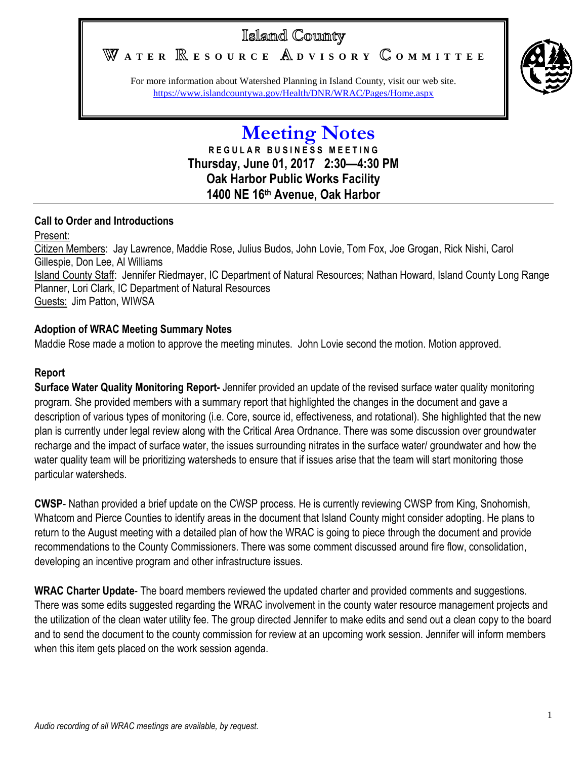# Island County

WATER **RESOURCE** ADVISORY COMMITTEE



For more information about Watershed Planning in Island County, visit our web site. <https://www.islandcountywa.gov/Health/DNR/WRAC/Pages/Home.aspx>

## **Meeting Notes R E G U L A R B U S I N E S S M E E T I N G Thursday, June 01, 2017 2:30—4:30 PM Oak Harbor Public Works Facility 1400 NE 16th Avenue, Oak Harbor**

### **Call to Order and Introductions**

Present:

Citizen Members: Jay Lawrence, Maddie Rose, Julius Budos, John Lovie, Tom Fox, Joe Grogan, Rick Nishi, Carol Gillespie, Don Lee, Al Williams Island County Staff: Jennifer Riedmayer, IC Department of Natural Resources; Nathan Howard, Island County Long Range Planner, Lori Clark, IC Department of Natural Resources Guests: Jim Patton, WIWSA

### **Adoption of WRAC Meeting Summary Notes**

Maddie Rose made a motion to approve the meeting minutes. John Lovie second the motion. Motion approved.

#### **Report**

**Surface Water Quality Monitoring Report-** Jennifer provided an update of the revised surface water quality monitoring program. She provided members with a summary report that highlighted the changes in the document and gave a description of various types of monitoring (i.e. Core, source id, effectiveness, and rotational). She highlighted that the new plan is currently under legal review along with the Critical Area Ordnance. There was some discussion over groundwater recharge and the impact of surface water, the issues surrounding nitrates in the surface water/ groundwater and how the water quality team will be prioritizing watersheds to ensure that if issues arise that the team will start monitoring those particular watersheds.

**CWSP**- Nathan provided a brief update on the CWSP process. He is currently reviewing CWSP from King, Snohomish, Whatcom and Pierce Counties to identify areas in the document that Island County might consider adopting. He plans to return to the August meeting with a detailed plan of how the WRAC is going to piece through the document and provide recommendations to the County Commissioners. There was some comment discussed around fire flow, consolidation, developing an incentive program and other infrastructure issues.

**WRAC Charter Update**- The board members reviewed the updated charter and provided comments and suggestions. There was some edits suggested regarding the WRAC involvement in the county water resource management projects and the utilization of the clean water utility fee. The group directed Jennifer to make edits and send out a clean copy to the board and to send the document to the county commission for review at an upcoming work session. Jennifer will inform members when this item gets placed on the work session agenda.